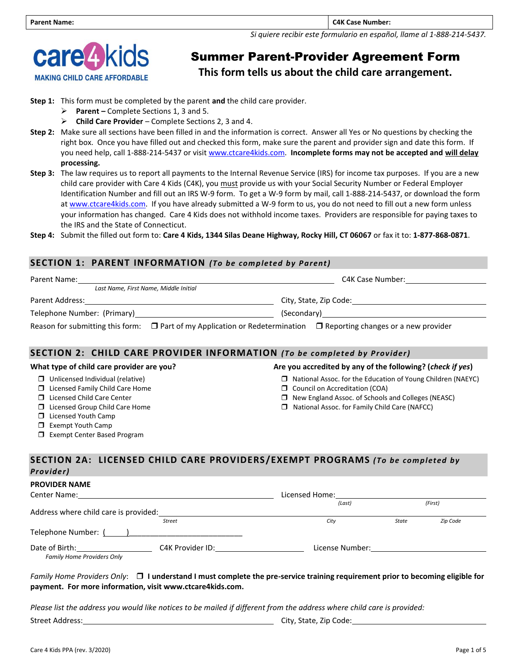*Si quiere recibir este formulario en español, llame al 1-888-214-5437.*



# Summer Parent-Provider Agreement Form

**This form tells us about the child care arrangement.**

- **Step 1:** This form must be completed by the parent **and** the child care provider.
	- ➢ **Parent –** Complete Sections 1, 3 and 5.
	- ➢ **Child Care Provider**  Complete Sections 2, 3 and 4.
- **Step 2:** Make sure all sections have been filled in and the information is correct. Answer all Yes or No questions by checking the right box. Once you have filled out and checked this form, make sure the parent and provider sign and date this form. If you need help, call 1-888-214-5437 or visit [www.ctcare4kids.com.](http://www.ctcare4kids.com/) **Incomplete forms may not be accepted and will delay processing.**
- **Step 3:** The law requires us to report all payments to the Internal Revenue Service (IRS) for income tax purposes. If you are a new child care provider with Care 4 Kids (C4K), you must provide us with your Social Security Number or Federal Employer Identification Number and fill out an IRS W-9 form. To get a W-9 form by mail, call 1-888-214-5437, or download the form a[t www.ctcare4kids.com.](http://www.ctcare4kids.com/) If you have already submitted a W-9 form to us, you do not need to fill out a new form unless your information has changed. Care 4 Kids does not withhold income taxes. Providers are responsible for paying taxes to the IRS and the State of Connecticut.
- **Step 4:** Submit the filled out form to: **Care 4 Kids, 1344 Silas Deane Highway, Rocky Hill, CT 06067** or fax it to: **1-877-868-0871**.

## **SECTION 1: PARENT INFORMATION** *(To be completed by Parent)*

| Parent Name:                                                                                                                 | C4K Case Number:       |
|------------------------------------------------------------------------------------------------------------------------------|------------------------|
| Last Name, First Name, Middle Initial                                                                                        |                        |
| Parent Address:                                                                                                              | City, State, Zip Code: |
| Telephone Number: (Primary)                                                                                                  |                        |
| Reason for submitting this form: $\Box$ Part of my Application or Redetermination $\Box$ Reporting changes or a new provider |                        |

## **SECTION 2: CHILD CARE PROVIDER INFORMATION** *(To be completed by Provider)*

| What type of child care provider are you?                                                                                                                                                     | Are you accredited by any of the following? (check if yes)                                                                                                                                                                |
|-----------------------------------------------------------------------------------------------------------------------------------------------------------------------------------------------|---------------------------------------------------------------------------------------------------------------------------------------------------------------------------------------------------------------------------|
| $\Box$ Unlicensed Individual (relative)<br>$\Box$ Licensed Family Child Care Home<br>$\Box$ Licensed Child Care Center<br>$\Box$ Licensed Group Child Care Home<br>$\Box$ Licensed Youth Camp | $\Box$ National Assoc. for the Education of Young Children (NAEYC)<br>Council on Accreditation (COA)<br>$\Box$ New England Assoc. of Schools and Colleges (NEASC)<br>$\Box$ National Assoc. for Family Child Care (NAFCC) |
| $\Box$ Exempt Youth Camp<br>$\Box$ Exempt Center Based Program                                                                                                                                |                                                                                                                                                                                                                           |
|                                                                                                                                                                                               | SECTION 2A: LICENSED CHILD CARE DROVIDERS/EXEMPT PROGRAMS (To be completed by                                                                                                                                             |

## **SECTION 2A: LICENSED CHILD CARE PROVIDERS /EXEMPT PROGRAMS** *(To be completed by Provider)*

**PROVIDER NAME**

| Center Name:                                                           | Licensed Home:   |                 |       |          |
|------------------------------------------------------------------------|------------------|-----------------|-------|----------|
| Address where child care is provided:                                  |                  | (Last)          |       | (First)  |
|                                                                        | <b>Street</b>    | City            | State | Zip Code |
| Telephone Number: ( )                                                  |                  |                 |       |          |
| Date of Birth: The Case of Birth:<br><b>Family Home Providers Only</b> | C4K Provider ID: | License Number: |       |          |

#### *Family Home Providers Only*: **I understand I must complete the pre-service training requirement prior to becoming eligible for payment. For more information, visit www.ctcare4kids.com.**

*Please list the address you would like notices to be mailed if different from the address where child care is provided:*

Street Address: City, State, Zip Code: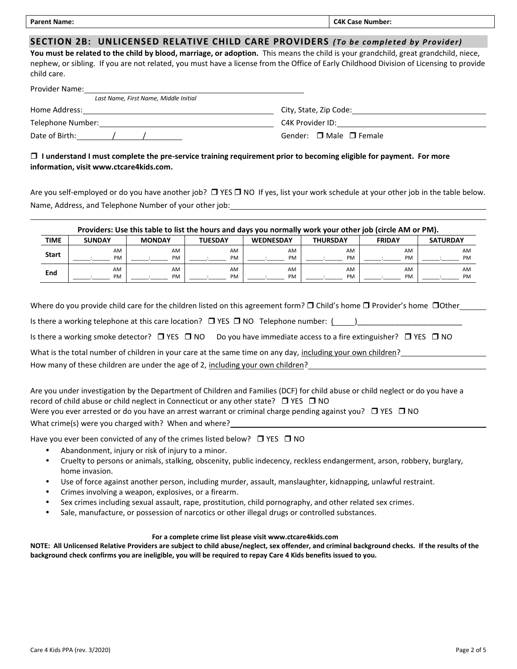| <b>Parent Name:</b><br>_______ | гдк<br>Lase<br>: Number: |
|--------------------------------|--------------------------|
|                                |                          |

## **SECTION 2B: UNLICENSED RELATIVE CHILD CARE PROVIDERS** *(To be completed by Provider)*

**You must be related to the child by blood, marriage, or adoption.** This means the child is your grandchild, great grandchild, niece, nephew, or sibling. If you are not related, you must have a license from the Office of Early Childhood Division of Licensing to provide child care.

| Provider Name:                        |                                                                                                                |
|---------------------------------------|----------------------------------------------------------------------------------------------------------------|
| Last Name, First Name, Middle Initial |                                                                                                                |
| Home Address:                         | City, State, Zip Code:                                                                                         |
| Telephone Number:                     | C4K Provider ID: The control of the control of the control of the control of the control of the control of the |
| Date of Birth:                        | Gender: $\Box$ Male $\Box$ Female                                                                              |

## **I understand I must complete the pre-service training requirement prior to becoming eligible for payment. For more information, visit www.ctcare4kids.com.**

Are you self-employed or do you have another job?  $\Box$  YES  $\Box$  NO If yes, list your work schedule at your other job in the table below. Name, Address, and Telephone Number of your other job:

|              | Providers: Use this table to list the hours and days you normally work your other job (circle AM or PM). |               |                |                  |                 |               |                 |  |
|--------------|----------------------------------------------------------------------------------------------------------|---------------|----------------|------------------|-----------------|---------------|-----------------|--|
| TIME         | <b>SUNDAY</b>                                                                                            | <b>MONDAY</b> | <b>TUESDAY</b> | <b>WEDNESDAY</b> | <b>THURSDAY</b> | <b>FRIDAY</b> | <b>SATURDAY</b> |  |
| <b>Start</b> | AM                                                                                                       | AM            | AM             | AM               | AM              | AM            | AM              |  |
|              | PM                                                                                                       | PM            | PM             | <b>PM</b>        | PM              | PM            | <b>PM</b>       |  |
| End          | AM                                                                                                       | AM            | AM             | AM               | AM              | AM            | AM              |  |
|              | PM                                                                                                       | PM            | <b>PM</b>      | <b>PM</b>        | PM              | <b>PM</b>     | PM              |  |

Where do you provide child care for the children listed on this agreement form?  $\Box$  Child's home  $\Box$  Provider's home  $\Box$ Other  $\Box$ Is there a working telephone at this care location?  $\Box$  YES  $\Box$  NO Telephone number: () Is there a working smoke detector?  $\Box$  YES  $\Box$  NO Do you have immediate access to a fire extinguisher?  $\Box$  YES  $\Box$  NO What is the total number of children in your care at the same time on any day, including your own children? How many of these children are under the age of 2, including your own children?

Are you under investigation by the Department of Children and Families (DCF) for child abuse or child neglect or do you have a record of child abuse or child neglect in Connecticut or any other state?  $\Box$  YES  $\Box$  NO Were you ever arrested or do you have an arrest warrant or criminal charge pending against you?  $\Box$  YES  $\Box$  NO What crime(s) were you charged with? When and where?

Have you ever been convicted of any of the crimes listed below?  $\Box$  YES  $\Box$  NO

- Abandonment, injury or risk of injury to a minor.
- Cruelty to persons or animals, stalking, obscenity, public indecency, reckless endangerment, arson, robbery, burglary, home invasion.
- Use of force against another person, including murder, assault, manslaughter, kidnapping, unlawful restraint.
- Crimes involving a weapon, explosives, or a firearm.
- Sex crimes including sexual assault, rape, prostitution, child pornography, and other related sex crimes.
- Sale, manufacture, or possession of narcotics or other illegal drugs or controlled substances.

#### **For a complete crime list please visit www.ctcare4kids.com**

**NOTE: All Unlicensed Relative Providers are subject to child abuse/neglect, sex offender, and criminal background checks. If the results of the background check confirms you are ineligible, you will be required to repay Care 4 Kids benefits issued to you.**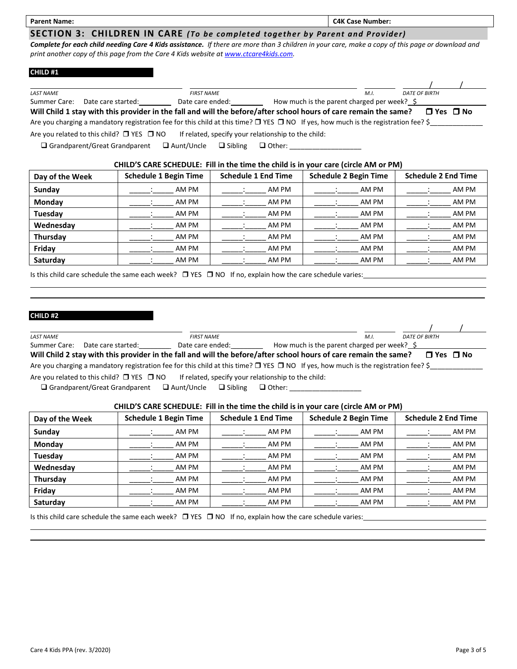| <b>Parent Name:</b> |  |  |  | <b>C4K Case Number:</b> |
|---------------------|--|--|--|-------------------------|
|                     |  |  |  |                         |

### **SECTION 3: CHILDREN IN CARE** *(To be completed together by Parent and Provider)*

*Complete for each child needing Care 4 Kids assistance. If there are more than 3 children in your care, make a copy of this page or download and print another copy of this page from the Care 4 Kids website a[t www.ctcare4kids.com.](http://www.ctcare4kids.com/)*

#### **CHILD #1**

| <b>LAST NAME</b>                                                                                                                         |                                                                                                                                              | <b>FIRST NAME</b> |                |                                                     |                                                  | M.I. | <b>DATE OF BIRTH</b> |  |
|------------------------------------------------------------------------------------------------------------------------------------------|----------------------------------------------------------------------------------------------------------------------------------------------|-------------------|----------------|-----------------------------------------------------|--------------------------------------------------|------|----------------------|--|
| Summer Care:                                                                                                                             | Date care started:                                                                                                                           | Date care ended:  |                |                                                     | How much is the parent charged per week? $\oint$ |      |                      |  |
| Will Child 1 stay with this provider in the fall and will the before/after school hours of care remain the same?<br>$\Box$ Yes $\Box$ No |                                                                                                                                              |                   |                |                                                     |                                                  |      |                      |  |
|                                                                                                                                          | Are you charging a mandatory registration fee for this child at this time? $\Box$ YES $\Box$ NO If yes, how much is the registration fee? \$ |                   |                |                                                     |                                                  |      |                      |  |
|                                                                                                                                          | Are you related to this child? $\Box$ YES $\Box$ NO                                                                                          |                   |                | If related, specify your relationship to the child: |                                                  |      |                      |  |
|                                                                                                                                          | $\Box$ Grandparent/Great Grandparent                                                                                                         | $\Box$ Aunt/Uncle | $\Box$ Sibling | □ Other: __________                                 |                                                  |      |                      |  |

#### **CHILD'S CARE SCHEDULE: Fill in the time the child is in your care (circle AM or PM)**

| Day of the Week | <b>Schedule 1 Begin Time</b> | <b>Schedule 1 End Time</b> | <b>Schedule 2 Begin Time</b> | <b>Schedule 2 End Time</b> |
|-----------------|------------------------------|----------------------------|------------------------------|----------------------------|
| Sunday          | AM PM                        | AM PM                      | AM PM                        | AM PM                      |
| Monday          | AM PM                        | AM PM                      | AM PM                        | AM PM                      |
| Tuesday         | AM PM                        | AM PM                      | AM PM                        | AM PM                      |
| Wednesday       | AM PM                        | AM PM                      | AM PM                        | AM PM                      |
| Thursday        | AM PM                        | AM PM                      | AM PM                        | AM PM                      |
| Friday          | AM PM                        | AM PM                      | AM PM                        | AM PM                      |
| Saturday        | AM PM                        | AM PM                      | AM PM                        | AM PM                      |

Is this child care schedule the same each week?  $\Box$  YES  $\Box$  NO If no, explain how the care schedule varies:

#### **CHILD #2**

| <b>LAST NAME</b> |                    | <b>FIRST NAME</b>                                                                                                                            | M.I.                                        | <b>DATE OF BIRTH</b> |  |
|------------------|--------------------|----------------------------------------------------------------------------------------------------------------------------------------------|---------------------------------------------|----------------------|--|
| Summer Care:     | Date care started: | Date care ended:                                                                                                                             | How much is the parent charged per week? \$ |                      |  |
|                  |                    | Will Child 2 stay with this provider in the fall and will the before/after school hours of care remain the same?                             |                                             | $\Box$ Yes $\Box$ No |  |
|                  |                    | Are you charging a mandatory registration fee for this child at this time? $\Box$ YES $\Box$ NO If yes, how much is the registration fee? \$ |                                             |                      |  |

\_\_\_\_\_\_\_\_\_\_\_\_\_\_\_\_\_\_\_\_\_\_\_\_\_\_\_\_\_\_\_\_\_\_\_\_\_\_\_\_\_\_\_\_\_\_\_\_\_\_\_\_\_\_\_\_\_\_\_\_\_\_\_\_\_\_\_\_\_\_\_\_\_\_\_\_\_\_\_\_\_\_\_\_\_\_\_\_\_\_\_\_\_\_\_\_\_\_\_\_\_\_\_\_\_\_\_\_\_\_\_\_\_\_\_\_\_\_\_\_

Are you related to this child?  $\Box$  YES  $\Box$  NO If related, specify your relationship to the child:

❑ Grandparent/Great Grandparent ❑ Aunt/Uncle ❑ Sibling ❑ Other: \_\_\_\_\_\_\_\_\_\_\_\_\_\_\_\_\_\_\_

#### **CHILD'S CARE SCHEDULE: Fill in the time the child is in your care (circle AM or PM)**

| Day of the Week | <b>Schedule 1 Begin Time</b> | <b>Schedule 1 End Time</b> | <b>Schedule 2 Begin Time</b> | <b>Schedule 2 End Time</b> |
|-----------------|------------------------------|----------------------------|------------------------------|----------------------------|
| Sunday          | AM PM                        | AM PM                      | AM PM                        | AM PM                      |
| Monday          | AM PM                        | AM PM                      | AM PM                        | AM PM                      |
| Tuesday         | AM PM                        | AM PM                      | AM PM                        | AM PM                      |
| Wednesday       | AM PM                        | AM PM                      | AM PM                        | AM PM                      |
| Thursday        | AM PM                        | AM PM                      | AM PM                        | AM PM                      |
| Friday          | AM PM                        | AM PM                      | AM PM                        | AM PM                      |
| Saturday        | AM PM                        | AM PM                      | AM PM                        | AM PM                      |

 $\_$  , and the set of the set of the set of the set of the set of the set of the set of the set of the set of the set of the set of the set of the set of the set of the set of the set of the set of the set of the set of th

Is this child care schedule the same each week?  $\Box$  YES  $\Box$  NO If no, explain how the care schedule varies: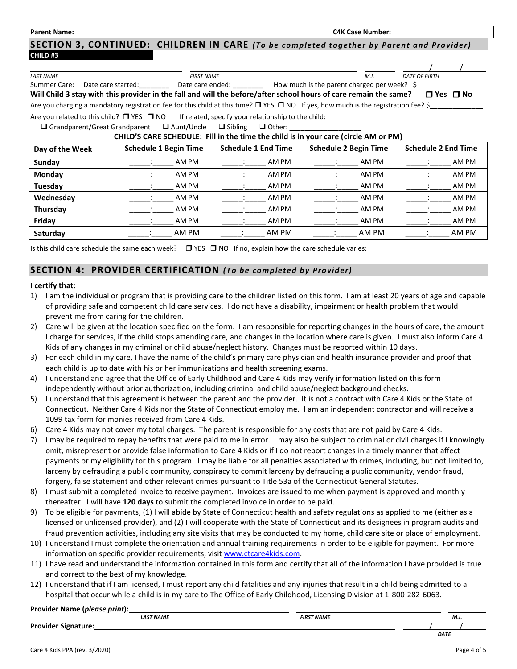Parent Name: **CAK Case Number: CAK Case Number: CAK Case Number: CAK Case Number: CAK Case Number:** 

**SECTION 3, CONTINUED: CHILDREN IN CARE** *(To be completed together by Parent and Provider)* **CHILD #3**

| <b>LAST NAME</b>                                                                                                                             | <b>FIRST NAME</b>            |                        | M.L.                                                                                                                                  | <b>DATE OF BIRTH</b>       |  |  |  |
|----------------------------------------------------------------------------------------------------------------------------------------------|------------------------------|------------------------|---------------------------------------------------------------------------------------------------------------------------------------|----------------------------|--|--|--|
|                                                                                                                                              |                              |                        | Summer Care: Date care started: Date care ended: How much is the parent charged per week? \$                                          |                            |  |  |  |
|                                                                                                                                              |                              |                        | Will Child 3 stay with this provider in the fall and will the before/after school hours of care remain the same? $\Box$ Yes $\Box$ No |                            |  |  |  |
| Are you charging a mandatory registration fee for this child at this time? $\Box$ YES $\Box$ NO If yes, how much is the registration fee? \$ |                              |                        |                                                                                                                                       |                            |  |  |  |
| Are you related to this child? $\Box$ YES $\Box$ NO If related, specify your relationship to the child:                                      |                              |                        |                                                                                                                                       |                            |  |  |  |
| $\Box$ Grandparent/Great Grandparent $\Box$ Aunt/Uncle $\Box$ Sibling $\Box$ Other:                                                          |                              |                        |                                                                                                                                       |                            |  |  |  |
|                                                                                                                                              |                              |                        | CHILD'S CARE SCHEDULE: Fill in the time the child is in your care (circle AM or PM)                                                   |                            |  |  |  |
| Day of the Week                                                                                                                              | <b>Schedule 1 Begin Time</b> | Schedule 1 End Time    | <b>Schedule 2 Begin Time</b>                                                                                                          | <b>Schedule 2 End Time</b> |  |  |  |
| Sunday                                                                                                                                       | AM PM                        | AM PM<br>and the state | AM PM                                                                                                                                 | AM PM                      |  |  |  |
| Monday                                                                                                                                       | AM PM                        | AM PM                  | AM PM                                                                                                                                 | AM PM                      |  |  |  |
| Tuesday                                                                                                                                      | AM PM                        | AM PM                  | AM PM                                                                                                                                 | AM PM                      |  |  |  |
| Wednesday                                                                                                                                    | AM PM                        | AM PM                  | AM PM                                                                                                                                 | AM PM                      |  |  |  |
| Thursday                                                                                                                                     | AM PM                        | AM PM                  | AM PM                                                                                                                                 | AM PM                      |  |  |  |
| Friday                                                                                                                                       | AM PM                        | AM PM                  | AM PM                                                                                                                                 | AM PM                      |  |  |  |
| Saturday                                                                                                                                     | AM PM                        | AM PM                  | AM PM                                                                                                                                 | AM PM                      |  |  |  |

Is this child care schedule the same each week?  $\Box$  YES  $\Box$  NO If no, explain how the care schedule varies:

## **SECTION 4: PROVIDER CERTIFICATION** *(To be completed by Provider)*

#### **I certify that:**

- 1) I am the individual or program that is providing care to the children listed on this form. I am at least 20 years of age and capable of providing safe and competent child care services. I do not have a disability, impairment or health problem that would prevent me from caring for the children.
- 2) Care will be given at the location specified on the form. I am responsible for reporting changes in the hours of care, the amount I charge for services, if the child stops attending care, and changes in the location where care is given. I must also inform Care 4 Kids of any changes in my criminal or child abuse/neglect history. Changes must be reported within 10 days.
- 3) For each child in my care, I have the name of the child's primary care physician and health insurance provider and proof that each child is up to date with his or her immunizations and health screening exams.
- 4) I understand and agree that the Office of Early Childhood and Care 4 Kids may verify information listed on this form independently without prior authorization, including criminal and child abuse/neglect background checks.
- 5) I understand that this agreement is between the parent and the provider. It is not a contract with Care 4 Kids or the State of Connecticut. Neither Care 4 Kids nor the State of Connecticut employ me. I am an independent contractor and will receive a 1099 tax form for monies received from Care 4 Kids.
- 6) Care 4 Kids may not cover my total charges. The parent is responsible for any costs that are not paid by Care 4 Kids.
- 7) I may be required to repay benefits that were paid to me in error. I may also be subject to criminal or civil charges if I knowingly omit, misrepresent or provide false information to Care 4 Kids or if I do not report changes in a timely manner that affect payments or my eligibility for this program. I may be liable for all penalties associated with crimes, including, but not limited to, larceny by defrauding a public community, conspiracy to commit larceny by defrauding a public community, vendor fraud, forgery, false statement and other relevant crimes pursuant to Title 53a of the Connecticut General Statutes.
- 8) I must submit a completed invoice to receive payment. Invoices are issued to me when payment is approved and monthly thereafter. I will have **120 days** to submit the completed invoice in order to be paid.
- 9) To be eligible for payments, (1) I will abide by State of Connecticut health and safety regulations as applied to me (either as a licensed or unlicensed provider), and (2) I will cooperate with the State of Connecticut and its designees in program audits and fraud prevention activities, including any site visits that may be conducted to my home, child care site or place of employment.
- 10) I understand I must complete the orientation and annual training requirements in order to be eligible for payment. For more information on specific provider requirements, visit [www.ctcare4kids.com.](http://www.ctcare4kids.com/)
- 11) I have read and understand the information contained in this form and certify that all of the information I have provided is true and correct to the best of my knowledge.
- 12) I understand that if I am licensed, I must report any child fatalities and any injuries that result in a child being admitted to a hospital that occur while a child is in my care to The Office of Early Childhood, Licensing Division at 1-800-282-6063.

#### **Provider Name (***please print***):**

|                       | LAST NAME | <b>FIRST NAME</b> | M.I. |             |  |
|-----------------------|-----------|-------------------|------|-------------|--|
| <b>Provi</b><br><br>. |           |                   |      |             |  |
|                       |           |                   |      | <b>DATF</b> |  |